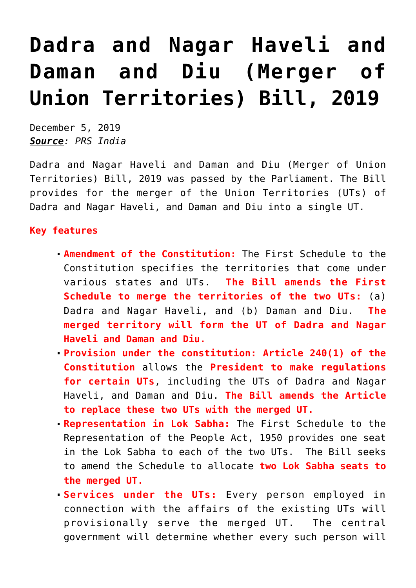## **[Dadra and Nagar Haveli and](https://journalsofindia.com/dadra-and-nagar-haveli-and-daman-and-diu-merger-of-union-territories-bill-2019/) [Daman and Diu \(Merger of](https://journalsofindia.com/dadra-and-nagar-haveli-and-daman-and-diu-merger-of-union-territories-bill-2019/) [Union Territories\) Bill, 2019](https://journalsofindia.com/dadra-and-nagar-haveli-and-daman-and-diu-merger-of-union-territories-bill-2019/)**

December 5, 2019 *Source: PRS India*

Dadra and Nagar Haveli and Daman and Diu (Merger of Union Territories) Bill, 2019 was passed by the Parliament. The Bill provides for the merger of the Union Territories (UTs) of Dadra and Nagar Haveli, and Daman and Diu into a single UT.

## **Key features**

- **Amendment of the Constitution:** The First Schedule to the Constitution specifies the territories that come under various states and UTs. **The Bill amends the First Schedule to merge the territories of the two UTs:** (a) Dadra and Nagar Haveli, and (b) Daman and Diu. **The merged territory will form the UT of Dadra and Nagar Haveli and Daman and Diu.**
- **Provision under the constitution: Article 240(1) of the Constitution** allows the **President to make regulations for certain UTs**, including the UTs of Dadra and Nagar Haveli, and Daman and Diu. **The Bill amends the Article to replace these two UTs with the merged UT.**
- **Representation in Lok Sabha:** The First Schedule to the Representation of the People Act, 1950 provides one seat in the Lok Sabha to each of the two UTs. The Bill seeks to amend the Schedule to allocate **two Lok Sabha seats to the merged UT.**
- **Services under the UTs:** Every person employed in connection with the affairs of the existing UTs will provisionally serve the merged UT. The central government will determine whether every such person will